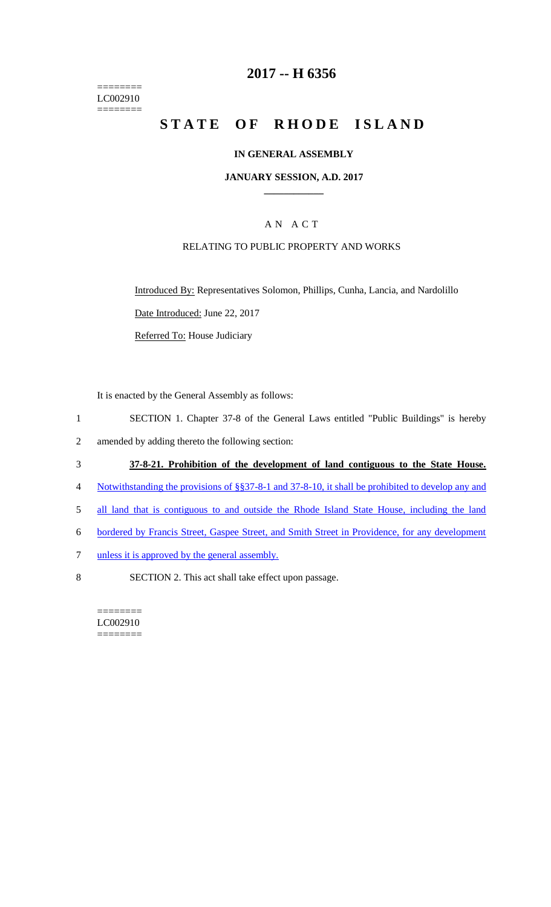======== LC002910  $=$ 

## **2017 -- H 6356**

# **STATE OF RHODE ISLAND**

#### **IN GENERAL ASSEMBLY**

#### **JANUARY SESSION, A.D. 2017 \_\_\_\_\_\_\_\_\_\_\_\_**

### A N A C T

#### RELATING TO PUBLIC PROPERTY AND WORKS

Introduced By: Representatives Solomon, Phillips, Cunha, Lancia, and Nardolillo

Date Introduced: June 22, 2017

Referred To: House Judiciary

It is enacted by the General Assembly as follows:

- 1 SECTION 1. Chapter 37-8 of the General Laws entitled "Public Buildings" is hereby
- 2 amended by adding thereto the following section:

#### 3 **37-8-21. Prohibition of the development of land contiguous to the State House.**

- 4 Notwithstanding the provisions of §§37-8-1 and 37-8-10, it shall be prohibited to develop any and
- 5 all land that is contiguous to and outside the Rhode Island State House, including the land
- 6 bordered by Francis Street, Gaspee Street, and Smith Street in Providence, for any development
- 7 unless it is approved by the general assembly.
- 8 SECTION 2. This act shall take effect upon passage.

======== LC002910 ========